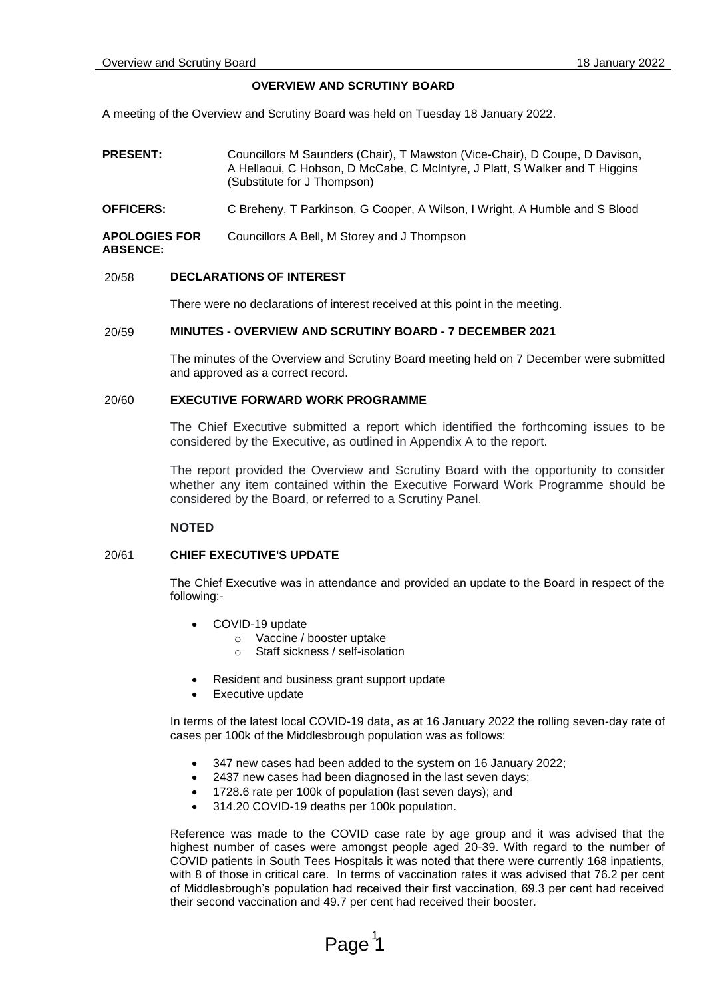## **OVERVIEW AND SCRUTINY BOARD**

A meeting of the Overview and Scrutiny Board was held on Tuesday 18 January 2022.

- **PRESENT:** Councillors M Saunders (Chair), T Mawston (Vice-Chair), D Coupe, D Davison, A Hellaoui, C Hobson, D McCabe, C McIntyre, J Platt, S Walker and T Higgins (Substitute for J Thompson)
- **OFFICERS:** C Breheny, T Parkinson, G Cooper, A Wilson, I Wright, A Humble and S Blood

**APOLOGIES FOR**  Councillors A Bell, M Storey and J Thompson

#### **ABSENCE:**

## 20/58 **DECLARATIONS OF INTEREST**

There were no declarations of interest received at this point in the meeting.

# 20/59 **MINUTES - OVERVIEW AND SCRUTINY BOARD - 7 DECEMBER 2021**

The minutes of the Overview and Scrutiny Board meeting held on 7 December were submitted and approved as a correct record.

# 20/60 **EXECUTIVE FORWARD WORK PROGRAMME**

The Chief Executive submitted a report which identified the forthcoming issues to be considered by the Executive, as outlined in Appendix A to the report.

The report provided the Overview and Scrutiny Board with the opportunity to consider whether any item contained within the Executive Forward Work Programme should be considered by the Board, or referred to a Scrutiny Panel.

## **NOTED**

## 20/61 **CHIEF EXECUTIVE'S UPDATE**

The Chief Executive was in attendance and provided an update to the Board in respect of the following:-

- COVID-19 update
	- o Vaccine / booster uptake
	- o Staff sickness / self-isolation
- Resident and business grant support update
- Executive update

In terms of the latest local COVID-19 data, as at 16 January 2022 the rolling seven-day rate of cases per 100k of the Middlesbrough population was as follows:

- 347 new cases had been added to the system on 16 January 2022;
- 2437 new cases had been diagnosed in the last seven days;
- 1728.6 rate per 100k of population (last seven days); and
- 314.20 COVID-19 deaths per 100k population.

Reference was made to the COVID case rate by age group and it was advised that the highest number of cases were amongst people aged 20-39. With regard to the number of COVID patients in South Tees Hospitals it was noted that there were currently 168 inpatients, with 8 of those in critical care. In terms of vaccination rates it was advised that 76.2 per cent of Middlesbrough's population had received their first vaccination, 69.3 per cent had received their second vaccination and 49.7 per cent had received their booster.

# Page<sup>1</sup>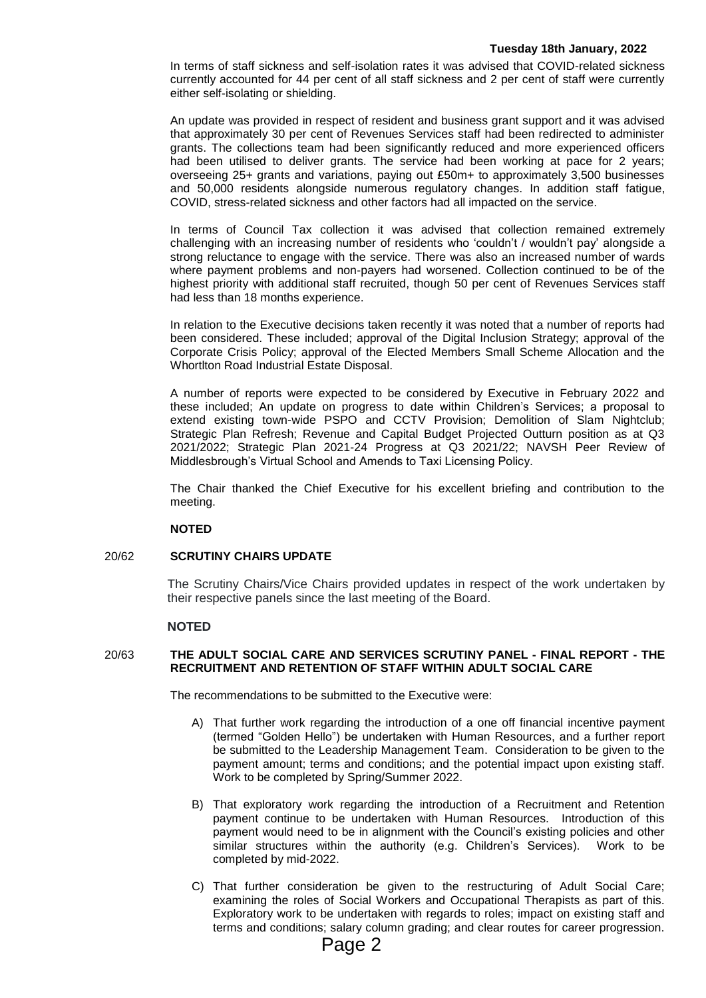#### **Tuesday 18th January, 2022**

In terms of staff sickness and self-isolation rates it was advised that COVID-related sickness currently accounted for 44 per cent of all staff sickness and 2 per cent of staff were currently either self-isolating or shielding.

An update was provided in respect of resident and business grant support and it was advised that approximately 30 per cent of Revenues Services staff had been redirected to administer grants. The collections team had been significantly reduced and more experienced officers had been utilised to deliver grants. The service had been working at pace for 2 years; overseeing 25+ grants and variations, paying out £50m+ to approximately 3,500 businesses and 50,000 residents alongside numerous regulatory changes. In addition staff fatigue, COVID, stress-related sickness and other factors had all impacted on the service.

In terms of Council Tax collection it was advised that collection remained extremely challenging with an increasing number of residents who 'couldn't / wouldn't pay' alongside a strong reluctance to engage with the service. There was also an increased number of wards where payment problems and non-payers had worsened. Collection continued to be of the highest priority with additional staff recruited, though 50 per cent of Revenues Services staff had less than 18 months experience.

In relation to the Executive decisions taken recently it was noted that a number of reports had been considered. These included; approval of the Digital Inclusion Strategy; approval of the Corporate Crisis Policy; approval of the Elected Members Small Scheme Allocation and the Whortlton Road Industrial Estate Disposal.

A number of reports were expected to be considered by Executive in February 2022 and these included; An update on progress to date within Children's Services; a proposal to extend existing town-wide PSPO and CCTV Provision; Demolition of Slam Nightclub; Strategic Plan Refresh; Revenue and Capital Budget Projected Outturn position as at Q3 2021/2022; Strategic Plan 2021-24 Progress at Q3 2021/22; NAVSH Peer Review of Middlesbrough's Virtual School and Amends to Taxi Licensing Policy.

The Chair thanked the Chief Executive for his excellent briefing and contribution to the meeting.

## **NOTED**

## 20/62 **SCRUTINY CHAIRS UPDATE**

The Scrutiny Chairs/Vice Chairs provided updates in respect of the work undertaken by their respective panels since the last meeting of the Board.

## **NOTED**

# 20/63 **THE ADULT SOCIAL CARE AND SERVICES SCRUTINY PANEL - FINAL REPORT - THE RECRUITMENT AND RETENTION OF STAFF WITHIN ADULT SOCIAL CARE**

The recommendations to be submitted to the Executive were:

- A) That further work regarding the introduction of a one off financial incentive payment (termed "Golden Hello") be undertaken with Human Resources, and a further report be submitted to the Leadership Management Team. Consideration to be given to the payment amount; terms and conditions; and the potential impact upon existing staff. Work to be completed by Spring/Summer 2022.
- B) That exploratory work regarding the introduction of a Recruitment and Retention payment continue to be undertaken with Human Resources. Introduction of this payment would need to be in alignment with the Council's existing policies and other similar structures within the authority (e.g. Children's Services). Work to be completed by mid-2022.
- C) That further consideration be given to the restructuring of Adult Social Care; examining the roles of Social Workers and Occupational Therapists as part of this. Exploratory work to be undertaken with regards to roles; impact on existing staff and terms and conditions; salary column grading; and clear routes for career progression.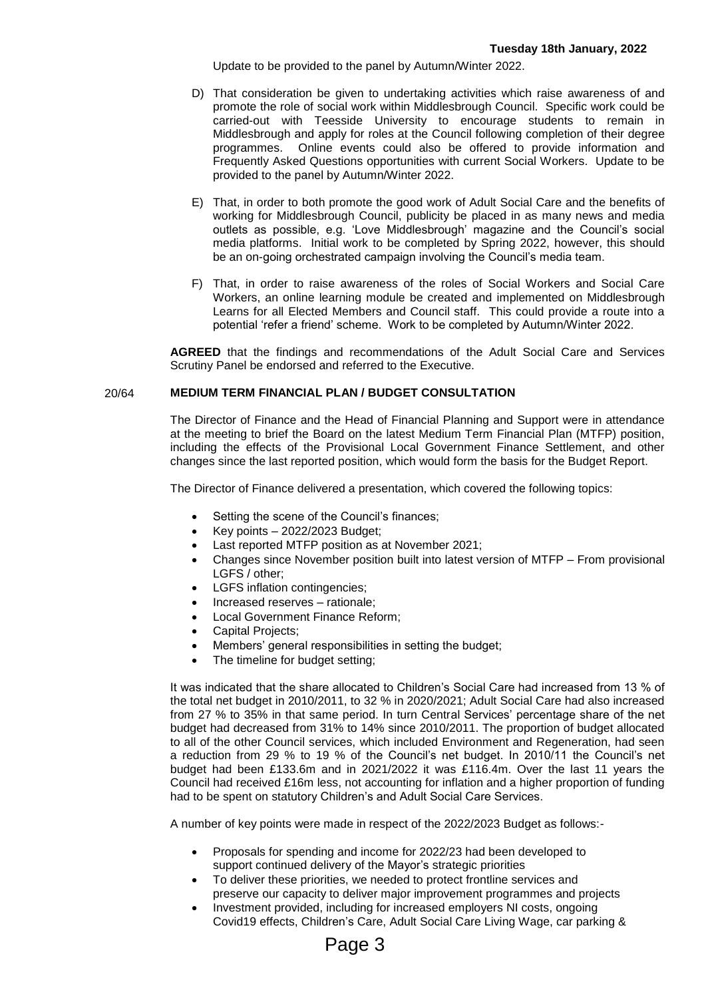Update to be provided to the panel by Autumn/Winter 2022.

- D) That consideration be given to undertaking activities which raise awareness of and promote the role of social work within Middlesbrough Council. Specific work could be carried-out with Teesside University to encourage students to remain in Middlesbrough and apply for roles at the Council following completion of their degree programmes. Online events could also be offered to provide information and Frequently Asked Questions opportunities with current Social Workers. Update to be provided to the panel by Autumn/Winter 2022.
- E) That, in order to both promote the good work of Adult Social Care and the benefits of working for Middlesbrough Council, publicity be placed in as many news and media outlets as possible, e.g. 'Love Middlesbrough' magazine and the Council's social media platforms. Initial work to be completed by Spring 2022, however, this should be an on-going orchestrated campaign involving the Council's media team.
- F) That, in order to raise awareness of the roles of Social Workers and Social Care Workers, an online learning module be created and implemented on Middlesbrough Learns for all Elected Members and Council staff. This could provide a route into a potential 'refer a friend' scheme. Work to be completed by Autumn/Winter 2022.

**AGREED** that the findings and recommendations of the Adult Social Care and Services Scrutiny Panel be endorsed and referred to the Executive.

## 20/64 **MEDIUM TERM FINANCIAL PLAN / BUDGET CONSULTATION**

The Director of Finance and the Head of Financial Planning and Support were in attendance at the meeting to brief the Board on the latest Medium Term Financial Plan (MTFP) position, including the effects of the Provisional Local Government Finance Settlement, and other changes since the last reported position, which would form the basis for the Budget Report.

The Director of Finance delivered a presentation, which covered the following topics:

- Setting the scene of the Council's finances;
- Key points 2022/2023 Budget;
- Last reported MTFP position as at November 2021;
- Changes since November position built into latest version of MTFP From provisional LGFS / other;
- LGFS inflation contingencies;
- Increased reserves rationale;
- Local Government Finance Reform;
- Capital Projects;
- Members' general responsibilities in setting the budget;
- The timeline for budget setting;

It was indicated that the share allocated to Children's Social Care had increased from 13 % of the total net budget in 2010/2011, to 32 % in 2020/2021; Adult Social Care had also increased from 27 % to 35% in that same period. In turn Central Services' percentage share of the net budget had decreased from 31% to 14% since 2010/2011. The proportion of budget allocated to all of the other Council services, which included Environment and Regeneration, had seen a reduction from 29 % to 19 % of the Council's net budget. In 2010/11 the Council's net budget had been £133.6m and in 2021/2022 it was £116.4m. Over the last 11 years the Council had received £16m less, not accounting for inflation and a higher proportion of funding had to be spent on statutory Children's and Adult Social Care Services.

A number of key points were made in respect of the 2022/2023 Budget as follows:-

- Proposals for spending and income for 2022/23 had been developed to support continued delivery of the Mayor's strategic priorities
- To deliver these priorities, we needed to protect frontline services and preserve our capacity to deliver major improvement programmes and projects
- Investment provided, including for increased employers NI costs, ongoing Covid19 effects, Children's Care, Adult Social Care Living Wage, car parking &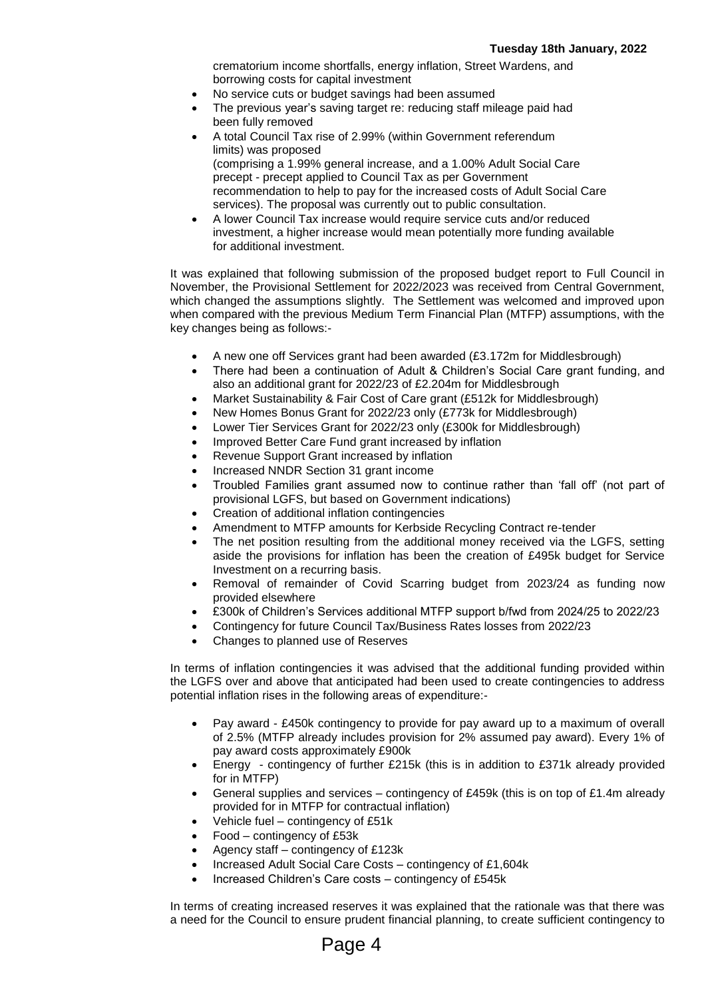crematorium income shortfalls, energy inflation, Street Wardens, and borrowing costs for capital investment

- No service cuts or budget savings had been assumed
- The previous year's saving target re: reducing staff mileage paid had been fully removed
- A total Council Tax rise of 2.99% (within Government referendum limits) was proposed (comprising a 1.99% general increase, and a 1.00% Adult Social Care precept - precept applied to Council Tax as per Government recommendation to help to pay for the increased costs of Adult Social Care services). The proposal was currently out to public consultation.
- A lower Council Tax increase would require service cuts and/or reduced investment, a higher increase would mean potentially more funding available for additional investment.

It was explained that following submission of the proposed budget report to Full Council in November, the Provisional Settlement for 2022/2023 was received from Central Government, which changed the assumptions slightly. The Settlement was welcomed and improved upon when compared with the previous Medium Term Financial Plan (MTFP) assumptions, with the key changes being as follows:-

- A new one off Services grant had been awarded (£3.172m for Middlesbrough)
- There had been a continuation of Adult & Children's Social Care grant funding, and also an additional grant for 2022/23 of £2.204m for Middlesbrough
- Market Sustainability & Fair Cost of Care grant (£512k for Middlesbrough)
- New Homes Bonus Grant for 2022/23 only (£773k for Middlesbrough)
- Lower Tier Services Grant for 2022/23 only (£300k for Middlesbrough)
- Improved Better Care Fund grant increased by inflation
- Revenue Support Grant increased by inflation
- Increased NNDR Section 31 grant income
- Troubled Families grant assumed now to continue rather than 'fall off' (not part of provisional LGFS, but based on Government indications)
- Creation of additional inflation contingencies
- Amendment to MTFP amounts for Kerbside Recycling Contract re-tender
- The net position resulting from the additional money received via the LGFS, setting aside the provisions for inflation has been the creation of £495k budget for Service Investment on a recurring basis.
- Removal of remainder of Covid Scarring budget from 2023/24 as funding now provided elsewhere
- £300k of Children's Services additional MTFP support b/fwd from 2024/25 to 2022/23
- Contingency for future Council Tax/Business Rates losses from 2022/23
- Changes to planned use of Reserves

In terms of inflation contingencies it was advised that the additional funding provided within the LGFS over and above that anticipated had been used to create contingencies to address potential inflation rises in the following areas of expenditure:-

- Pay award £450k contingency to provide for pay award up to a maximum of overall of 2.5% (MTFP already includes provision for 2% assumed pay award). Every 1% of pay award costs approximately £900k
- Energy contingency of further £215k (this is in addition to £371k already provided for in MTFP)
- General supplies and services contingency of £459k (this is on top of £1.4m already provided for in MTFP for contractual inflation)
- Vehicle fuel contingency of £51k
- Food contingency of £53k
- Agency staff contingency of £123k
- Increased Adult Social Care Costs contingency of £1,604k
- Increased Children's Care costs contingency of £545k

In terms of creating increased reserves it was explained that the rationale was that there was a need for the Council to ensure prudent financial planning, to create sufficient contingency to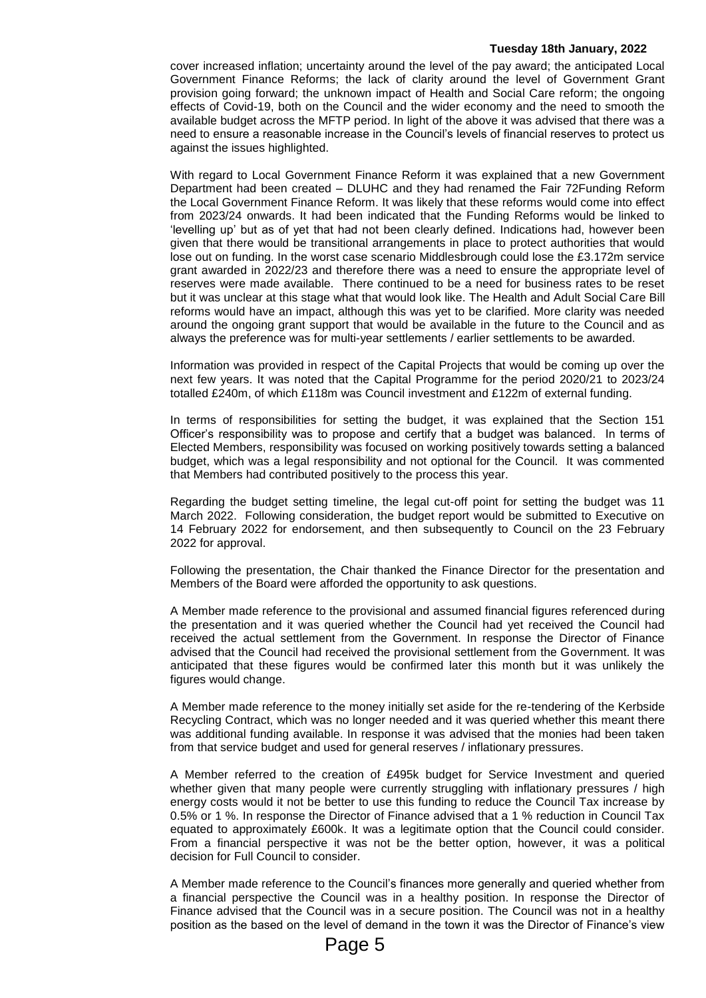#### **Tuesday 18th January, 2022**

cover increased inflation; uncertainty around the level of the pay award; the anticipated Local Government Finance Reforms; the lack of clarity around the level of Government Grant provision going forward; the unknown impact of Health and Social Care reform; the ongoing effects of Covid-19, both on the Council and the wider economy and the need to smooth the available budget across the MFTP period. In light of the above it was advised that there was a need to ensure a reasonable increase in the Council's levels of financial reserves to protect us against the issues highlighted.

With regard to Local Government Finance Reform it was explained that a new Government Department had been created – DLUHC and they had renamed the Fair 72Funding Reform the Local Government Finance Reform. It was likely that these reforms would come into effect from 2023/24 onwards. It had been indicated that the Funding Reforms would be linked to 'levelling up' but as of yet that had not been clearly defined. Indications had, however been given that there would be transitional arrangements in place to protect authorities that would lose out on funding. In the worst case scenario Middlesbrough could lose the £3.172m service grant awarded in 2022/23 and therefore there was a need to ensure the appropriate level of reserves were made available. There continued to be a need for business rates to be reset but it was unclear at this stage what that would look like. The Health and Adult Social Care Bill reforms would have an impact, although this was yet to be clarified. More clarity was needed around the ongoing grant support that would be available in the future to the Council and as always the preference was for multi-year settlements / earlier settlements to be awarded.

Information was provided in respect of the Capital Projects that would be coming up over the next few years. It was noted that the Capital Programme for the period 2020/21 to 2023/24 totalled £240m, of which £118m was Council investment and £122m of external funding.

In terms of responsibilities for setting the budget, it was explained that the Section 151 Officer's responsibility was to propose and certify that a budget was balanced. In terms of Elected Members, responsibility was focused on working positively towards setting a balanced budget, which was a legal responsibility and not optional for the Council. It was commented that Members had contributed positively to the process this year.

Regarding the budget setting timeline, the legal cut-off point for setting the budget was 11 March 2022. Following consideration, the budget report would be submitted to Executive on 14 February 2022 for endorsement, and then subsequently to Council on the 23 February 2022 for approval.

Following the presentation, the Chair thanked the Finance Director for the presentation and Members of the Board were afforded the opportunity to ask questions.

A Member made reference to the provisional and assumed financial figures referenced during the presentation and it was queried whether the Council had yet received the Council had received the actual settlement from the Government. In response the Director of Finance advised that the Council had received the provisional settlement from the Government. It was anticipated that these figures would be confirmed later this month but it was unlikely the figures would change.

A Member made reference to the money initially set aside for the re-tendering of the Kerbside Recycling Contract, which was no longer needed and it was queried whether this meant there was additional funding available. In response it was advised that the monies had been taken from that service budget and used for general reserves / inflationary pressures.

A Member referred to the creation of £495k budget for Service Investment and queried whether given that many people were currently struggling with inflationary pressures / high energy costs would it not be better to use this funding to reduce the Council Tax increase by 0.5% or 1 %. In response the Director of Finance advised that a 1 % reduction in Council Tax equated to approximately £600k. It was a legitimate option that the Council could consider. From a financial perspective it was not be the better option, however, it was a political decision for Full Council to consider.

A Member made reference to the Council's finances more generally and queried whether from a financial perspective the Council was in a healthy position. In response the Director of Finance advised that the Council was in a secure position. The Council was not in a healthy position as the based on the level of demand in the town it was the Director of Finance's view